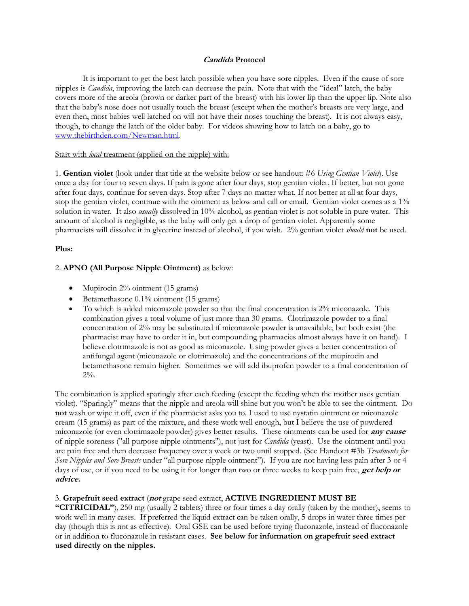## **Candida Protocol**

It is important to get the best latch possible when you have sore nipples. Even if the cause of sore nipples is *Candida*, improving the latch can decrease the pain. Note that with the "ideal" latch, the baby covers more of the areola (brown or darker part of the breast) with his lower lip than the upper lip. Note also that the baby's nose does not usually touch the breast (except when the mother's breasts are very large, and even then, most babies well latched on will not have their noses touching the breast). It is not always easy, though, to change the latch of the older baby. For videos showing how to latch on a baby, go to [www.thebirthden.com/Newman.html.](http://www.thebirthden.com/Newman.html)

## Start with *local* treatment (applied on the nipple) with:

1. **Gentian violet** (look under that title at the website below orsee handout: #6 *Using Gentian Violet*). Use once a day for four to seven days. If pain is gone after four days, stop gentian violet. If better, but not gone after four days, continue for seven days. Stop after 7 days no matter what. If not better at all at four days, stop the gentian violet, continue with the ointment as below and call or email. Gentian violet comes as a 1% solution in water. It also *usually* dissolved in 10% alcohol, as gentian violet is not soluble in pure water. This amount of alcohol is negligible, as the baby will only get a drop of gentian violet. Apparently some pharmacists will dissolve it in glycerine instead of alcohol, if you wish. 2% gentian violet *should* **not** be used.

#### **Plus:**

## 2. **APNO (All Purpose Nipple Ointment)** as below:

- Mupirocin  $2\%$  ointment (15 grams)
- Betamethasone  $0.1\%$  ointment (15 grams)
- · To which is added miconazole powder so that the final concentration is 2% miconazole. This combination gives a total volume of just more than 30 grams. Clotrimazole powder to a final concentration of 2% may be substituted if miconazole powder is unavailable, but both exist (the pharmacist may have to order it in, but compounding pharmacies almost always have it on hand). I believe clotrimazole is not as good as miconazole. Using powder gives a better concentration of antifungal agent (miconazole or clotrimazole) and the concentrations of the mupirocin and betamethasone remain higher. Sometimes we will add ibuprofen powder to a final concentration of 2%.

The combination is applied sparingly after each feeding (except the feeding when the mother uses gentian violet). "Sparingly" means that the nipple and areola will shine but you won't be able to see the ointment. Do **not** wash or wipe it off, even if the pharmacist asks you to. I used to use nystatin ointment or miconazole cream (15 grams) as part of the mixture, and these work well enough, but I believe the use of powdered miconazole (or even clotrimazole powder) gives better results. These ointments can be used for **any cause** of nipple soreness ("all purpose nipple ointments"), not just for *Candida* (yeast). Use the ointment until you are pain free and then decrease frequency over a week or two until stopped. (See Handout #3b *Treatments for Sore Nipples and Sore Breasts* under "all purpose nipple ointment"). If you are not having less pain after 3 or 4 days of use, or if you need to be using it for longer than two or three weeks to keep pain free, **get help or advice.**

#### 3. **Grapefruit seed extract** (**not** grape seed extract, **ACTIVE INGREDIENT MUST BE**

**"CITRICIDAL"**), 250 mg (usually 2 tablets) three or four times a day orally (taken by the mother), seems to work well in many cases. If preferred the liquid extract can be taken orally, 5 drops in water three times per day (though this is not as effective). Oral GSE can be used before trying fluconazole, instead of fluconazole or in addition to fluconazole in resistant cases. **See below for information on grapefruit seed extract used directly on the nipples.**